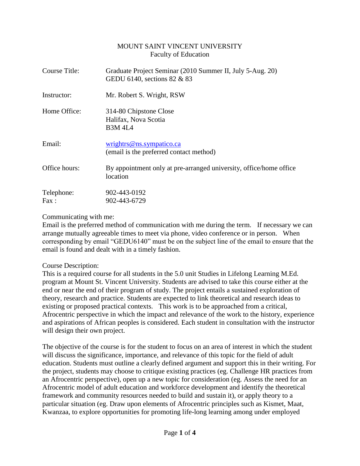#### MOUNT SAINT VINCENT UNIVERSITY Faculty of Education

| Course Title:      | Graduate Project Seminar (2010 Summer II, July 5-Aug. 20)<br>GEDU 6140, sections 82 & 83 |  |
|--------------------|------------------------------------------------------------------------------------------|--|
| Instructor:        | Mr. Robert S. Wright, RSW                                                                |  |
| Home Office:       | 314-80 Chipstone Close<br>Halifax, Nova Scotia<br><b>B3M 4L4</b>                         |  |
| Email:             | wrights@ns.sympatico.ca<br>(email is the preferred contact method)                       |  |
| Office hours:      | By appointment only at pre-arranged university, office/home office<br>location           |  |
| Telephone:<br>Fax: | 902-443-0192<br>902-443-6729                                                             |  |

Communicating with me:

Email is the preferred method of communication with me during the term. If necessary we can arrange mutually agreeable times to meet via phone, video conference or in person. When corresponding by email "GEDU6140" must be on the subject line of the email to ensure that the email is found and dealt with in a timely fashion.

### Course Description:

This is a required course for all students in the 5.0 unit Studies in Lifelong Learning M.Ed. program at Mount St. Vincent University. Students are advised to take this course either at the end or near the end of their program of study. The project entails a sustained exploration of theory, research and practice. Students are expected to link theoretical and research ideas to existing or proposed practical contexts. This work is to be approached from a critical, Afrocentric perspective in which the impact and relevance of the work to the history, experience and aspirations of African peoples is considered. Each student in consultation with the instructor will design their own project.

The objective of the course is for the student to focus on an area of interest in which the student will discuss the significance, importance, and relevance of this topic for the field of adult education. Students must outline a clearly defined argument and support this in their writing. For the project, students may choose to critique existing practices (eg. Challenge HR practices from an Afrocentric perspective), open up a new topic for consideration (eg. Assess the need for an Afrocentric model of adult education and workforce development and identify the theoretical framework and community resources needed to build and sustain it), or apply theory to a particular situation (eg. Draw upon elements of Afrocentric principles such as Kismet, Maat, Kwanzaa, to explore opportunities for promoting life-long learning among under employed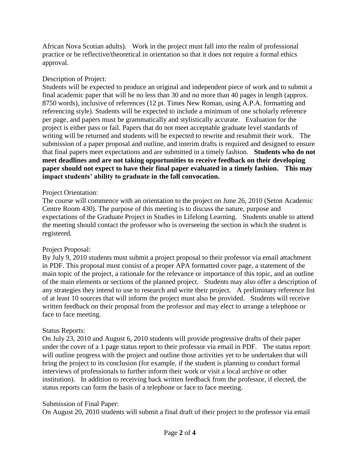African Nova Scotian adults). Work in the project must fall into the realm of professional practice or be reflective/theoretical in orientation so that it does not require a formal ethics approval.

### Description of Project:

Students will be expected to produce an original and independent piece of work and to submit a final academic paper that will be no less than 30 and no more than 40 pages in length (approx. 8750 words), inclusive of references (12 pt. Times New Roman, using A.P.A. formatting and referencing style). Students will be expected to include a minimum of one scholarly reference per page, and papers must be grammatically and stylistically accurate. Evaluation for the project is either pass or fail. Papers that do not meet acceptable graduate level standards of writing will be returned and students will be expected to rewrite and resubmit their work. The submission of a paper proposal and outline, and interim drafts is required and designed to ensure that final papers meet expectations and are submitted in a timely fashion. **Students who do not meet deadlines and are not taking opportunities to receive feedback on their developing paper should not expect to have their final paper evaluated in a timely fashion. This may impact students' ability to graduate in the fall convocation.** 

### Project Orientation:

The course will commence with an orientation to the project on June 26, 2010 (Seton Academic Centre Room 430). The purpose of this meeting is to discuss the nature, purpose and expectations of the Graduate Project in Studies in Lifelong Learning. Students unable to attend the meeting should contact the professor who is overseeing the section in which the student is registered.

### Project Proposal:

By July 9, 2010 students must submit a project proposal to their professor via email attachment in PDF. This proposal must consist of a proper APA formatted cover page, a statement of the main topic of the project, a rationale for the relevance or importance of this topic, and an outline of the main elements or sections of the planned project. Students may also offer a description of any strategies they intend to use to research and write their project. A preliminary reference list of at least 10 sources that will inform the project must also be provided. Students will receive written feedback on their proposal from the professor and may elect to arrange a telephone or face to face meeting.

### Status Reports:

On July 23, 2010 and August 6, 2010 students will provide progressive drafts of their paper under the cover of a 1 page status report to their professor via email in PDF. The status report will outline progress with the project and outline those activities yet to be undertaken that will bring the project to its conclusion (for example, if the student is planning to conduct formal interviews of professionals to further inform their work or visit a local archive or other institution). In addition to receiving back written feedback from the professor, if elected, the status reports can form the basis of a telephone or face to face meeting.

### Submission of Final Paper:

On August 20, 2010 students will submit a final draft of their project to the professor via email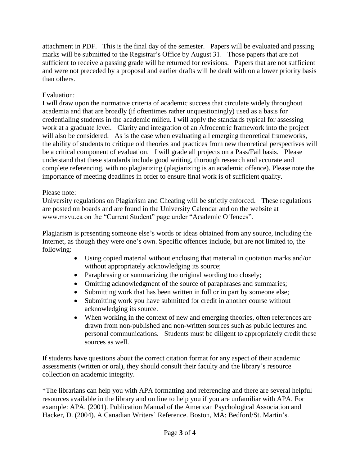attachment in PDF. This is the final day of the semester. Papers will be evaluated and passing marks will be submitted to the Registrar's Office by August 31. Those papers that are not sufficient to receive a passing grade will be returned for revisions. Papers that are not sufficient and were not preceded by a proposal and earlier drafts will be dealt with on a lower priority basis than others.

# Evaluation:

I will draw upon the normative criteria of academic success that circulate widely throughout academia and that are broadly (if oftentimes rather unquestioningly) used as a basis for credentialing students in the academic milieu. I will apply the standards typical for assessing work at a graduate level. Clarity and integration of an Afrocentric framework into the project will also be considered. As is the case when evaluating all emerging theoretical frameworks, the ability of students to critique old theories and practices from new theoretical perspectives will be a critical component of evaluation. I will grade all projects on a Pass/Fail basis. Please understand that these standards include good writing, thorough research and accurate and complete referencing, with no plagiarizing (plagiarizing is an academic offence). Please note the importance of meeting deadlines in order to ensure final work is of sufficient quality.

## Please note:

University regulations on Plagiarism and Cheating will be strictly enforced. These regulations are posted on boards and are found in the University Calendar and on the website at www.msvu.ca on the "Current Student" page under "Academic Offences".

Plagiarism is presenting someone else's words or ideas obtained from any source, including the Internet, as though they were one's own. Specific offences include, but are not limited to, the following:

- Using copied material without enclosing that material in quotation marks and/or without appropriately acknowledging its source;
- Paraphrasing or summarizing the original wording too closely;
- Omitting acknowledgment of the source of paraphrases and summaries;
- Submitting work that has been written in full or in part by someone else;
- Submitting work you have submitted for credit in another course without acknowledging its source.
- When working in the context of new and emerging theories, often references are drawn from non-published and non-written sources such as public lectures and personal communications. Students must be diligent to appropriately credit these sources as well.

If students have questions about the correct citation format for any aspect of their academic assessments (written or oral), they should consult their faculty and the library's resource collection on academic integrity.

\*The librarians can help you with APA formatting and referencing and there are several helpful resources available in the library and on line to help you if you are unfamiliar with APA. For example: APA. (2001). Publication Manual of the American Psychological Association and Hacker, D. (2004). A Canadian Writers' Reference. Boston, MA: Bedford/St. Martin's.